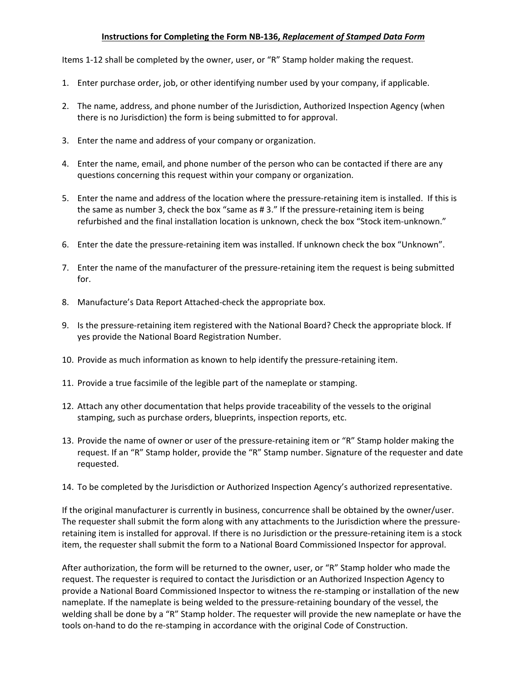## **Instructions for Completing the Form NB‐136,** *Replacement of Stamped Data Form*

Items 1‐12 shall be completed by the owner, user, or "R" Stamp holder making the request.

- 1. Enter purchase order, job, or other identifying number used by your company, if applicable.
- 2. The name, address, and phone number of the Jurisdiction, Authorized Inspection Agency (when there is no Jurisdiction) the form is being submitted to for approval.
- 3. Enter the name and address of your company or organization.
- 4. Enter the name, email, and phone number of the person who can be contacted if there are any questions concerning this request within your company or organization.
- 5. Enter the name and address of the location where the pressure-retaining item is installed. If this is the same as number 3, check the box "same as #3." If the pressure-retaining item is being refurbished and the final installation location is unknown, check the box "Stock item-unknown."
- 6. Enter the date the pressure-retaining item was installed. If unknown check the box "Unknown".
- 7. Enter the name of the manufacturer of the pressure-retaining item the request is being submitted for.
- 8. Manufacture's Data Report Attached-check the appropriate box.
- 9. Is the pressure-retaining item registered with the National Board? Check the appropriate block. If yes provide the National Board Registration Number.
- 10. Provide as much information as known to help identify the pressure-retaining item.
- 11. Provide a true facsimile of the legible part of the nameplate or stamping.
- 12. Attach any other documentation that helps provide traceability of the vessels to the original stamping, such as purchase orders, blueprints, inspection reports, etc.
- 13. Provide the name of owner or user of the pressure-retaining item or "R" Stamp holder making the request. If an "R" Stamp holder, provide the "R" Stamp number. Signature of the requester and date requested.
- 14. To be completed by the Jurisdiction or Authorized Inspection Agency's authorized representative.

If the original manufacturer is currently in business, concurrence shall be obtained by the owner/user. The requester shall submit the form along with any attachments to the Jurisdiction where the pressure‐ retaining item is installed for approval. If there is no Jurisdiction or the pressure‐retaining item is a stock item, the requester shall submit the form to a National Board Commissioned Inspector for approval.

After authorization, the form will be returned to the owner, user, or "R" Stamp holder who made the request. The requester is required to contact the Jurisdiction or an Authorized Inspection Agency to provide a National Board Commissioned Inspector to witness the re-stamping or installation of the new nameplate. If the nameplate is being welded to the pressure‐retaining boundary of the vessel, the welding shall be done by a "R" Stamp holder. The requester will provide the new nameplate or have the tools on‐hand to do the re‐stamping in accordance with the original Code of Construction.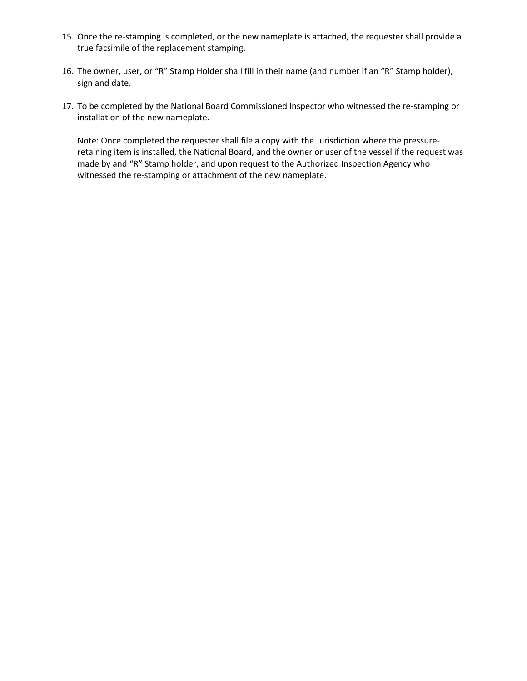- 15. Once the re‐stamping is completed, or the new nameplate is attached, the requester shall provide a true facsimile of the replacement stamping.
- 16. The owner, user, or "R" Stamp Holder shall fill in their name (and number if an "R" Stamp holder), sign and date.
- 17. To be completed by the National Board Commissioned Inspector who witnessed the re-stamping or installation of the new nameplate.

Note: Once completed the requester shall file a copy with the Jurisdiction where the pressure‐ retaining item is installed, the National Board, and the owner or user of the vessel if the request was made by and "R" Stamp holder, and upon request to the Authorized Inspection Agency who witnessed the re-stamping or attachment of the new nameplate.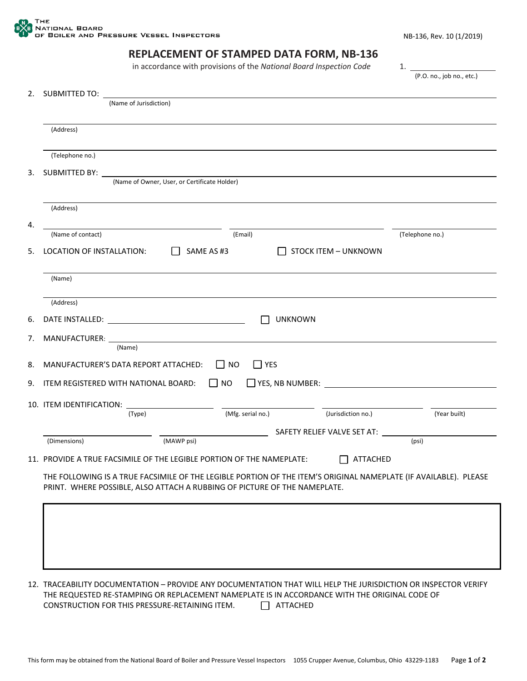## **REPLACEMENT OF STAMPED DATA FORM, NB‐136**

in accordance with provisions of the *National Board Inspection Code* 1.

(P.O. no., job no., etc.)

| 2. | SUBMITTED TO:                                                                                                                                                                                 |  |  |  |
|----|-----------------------------------------------------------------------------------------------------------------------------------------------------------------------------------------------|--|--|--|
|    | (Name of Jurisdiction)                                                                                                                                                                        |  |  |  |
|    | (Address)                                                                                                                                                                                     |  |  |  |
|    | (Telephone no.)                                                                                                                                                                               |  |  |  |
| 3. | SUBMITTED BY:<br>(Name of Owner, User, or Certificate Holder)                                                                                                                                 |  |  |  |
|    | (Address)                                                                                                                                                                                     |  |  |  |
| 4. |                                                                                                                                                                                               |  |  |  |
|    | (Telephone no.)<br>(Email)<br>(Name of contact)                                                                                                                                               |  |  |  |
| 5. | LOCATION OF INSTALLATION:<br>SAME AS #3<br><b>STOCK ITEM - UNKNOWN</b>                                                                                                                        |  |  |  |
|    | (Name)                                                                                                                                                                                        |  |  |  |
|    | (Address)                                                                                                                                                                                     |  |  |  |
| 6. | <b>UNKNOWN</b>                                                                                                                                                                                |  |  |  |
| 7. | MANUFACTURER: ___<br>(Name)                                                                                                                                                                   |  |  |  |
| 8. | MANUFACTURER'S DATA REPORT ATTACHED:<br>$\Box$ YES<br>l I NO                                                                                                                                  |  |  |  |
| 9. | $\Box$ NO<br>YES, NB NUMBER:<br>ITEM REGISTERED WITH NATIONAL BOARD:                                                                                                                          |  |  |  |
|    | 10. ITEM IDENTIFICATION:                                                                                                                                                                      |  |  |  |
|    | (Mfg. serial no.)<br>(Jurisdiction no.)<br>(Year built)<br>(Type)                                                                                                                             |  |  |  |
|    | SAFETY RELIEF VALVE SET AT: ___                                                                                                                                                               |  |  |  |
|    | (MAWP psi)<br>(Dimensions)<br>(psi)                                                                                                                                                           |  |  |  |
|    | 11. PROVIDE A TRUE FACSIMILE OF THE LEGIBLE PORTION OF THE NAMEPLATE:<br><b>ATTACHED</b>                                                                                                      |  |  |  |
|    | THE FOLLOWING IS A TRUE FACSIMILE OF THE LEGIBLE PORTION OF THE ITEM'S ORIGINAL NAMEPLATE (IF AVAILABLE). PLEASE<br>PRINT. WHERE POSSIBLE, ALSO ATTACH A RUBBING OF PICTURE OF THE NAMEPLATE. |  |  |  |
|    |                                                                                                                                                                                               |  |  |  |
|    |                                                                                                                                                                                               |  |  |  |
|    |                                                                                                                                                                                               |  |  |  |
|    |                                                                                                                                                                                               |  |  |  |
|    |                                                                                                                                                                                               |  |  |  |
|    |                                                                                                                                                                                               |  |  |  |

12. TRACEABILITY DOCUMENTATION – PROVIDE ANY DOCUMENTATION THAT WILL HELP THE JURISDICTION OR INSPECTOR VERIFY THE REQUESTED RE‐STAMPING OR REPLACEMENT NAMEPLATE IS IN ACCORDANCE WITH THE ORIGINAL CODE OF CONSTRUCTION FOR THIS PRESSURE-RETAINING ITEM. □ ATTACHED